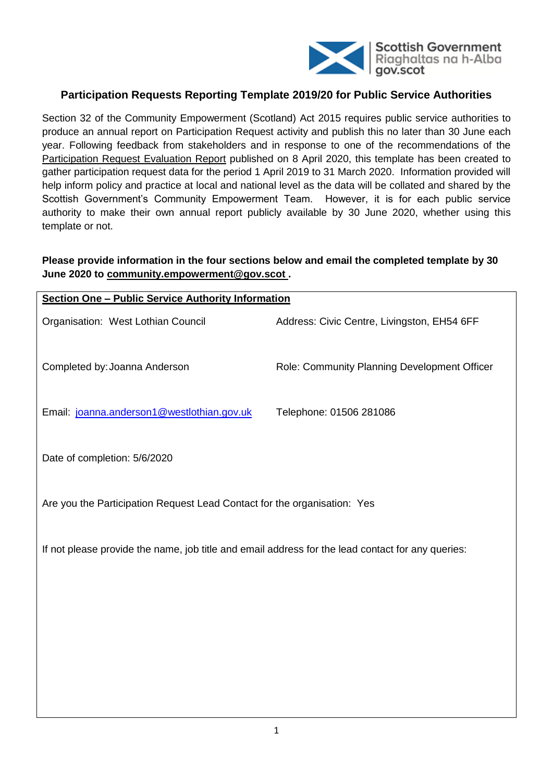

# **Participation Requests Reporting Template 2019/20 for Public Service Authorities**

Section 32 of the Community Empowerment (Scotland) Act 2015 requires public service authorities to produce an annual report on Participation Request activity and publish this no later than 30 June each year. Following feedback from stakeholders and in response to one of the recommendations of the [Participation Request Evaluation Report](https://www.gov.scot/publications/participation-requests-evaluation-part-3-community-empowerment-scotland-act-2015/) published on 8 April 2020, this template has been created to gather participation request data for the period 1 April 2019 to 31 March 2020. Information provided will help inform policy and practice at local and national level as the data will be collated and shared by the Scottish Government's Community Empowerment Team. However, it is for each public service authority to make their own annual report publicly available by 30 June 2020, whether using this template or not.

# **Please provide information in the four sections below and email the completed template by 30 June 2020 to [community.empowerment@gov.scot](mailto:community.empowerment@gov.scot) .**

| <b>Section One - Public Service Authority Information</b>                                         |                                              |  |  |  |
|---------------------------------------------------------------------------------------------------|----------------------------------------------|--|--|--|
| Organisation: West Lothian Council                                                                | Address: Civic Centre, Livingston, EH54 6FF  |  |  |  |
| Completed by: Joanna Anderson                                                                     | Role: Community Planning Development Officer |  |  |  |
| Email: joanna.anderson1@westlothian.gov.uk                                                        | Telephone: 01506 281086                      |  |  |  |
| Date of completion: 5/6/2020                                                                      |                                              |  |  |  |
| Are you the Participation Request Lead Contact for the organisation: Yes                          |                                              |  |  |  |
| If not please provide the name, job title and email address for the lead contact for any queries: |                                              |  |  |  |
|                                                                                                   |                                              |  |  |  |
|                                                                                                   |                                              |  |  |  |
|                                                                                                   |                                              |  |  |  |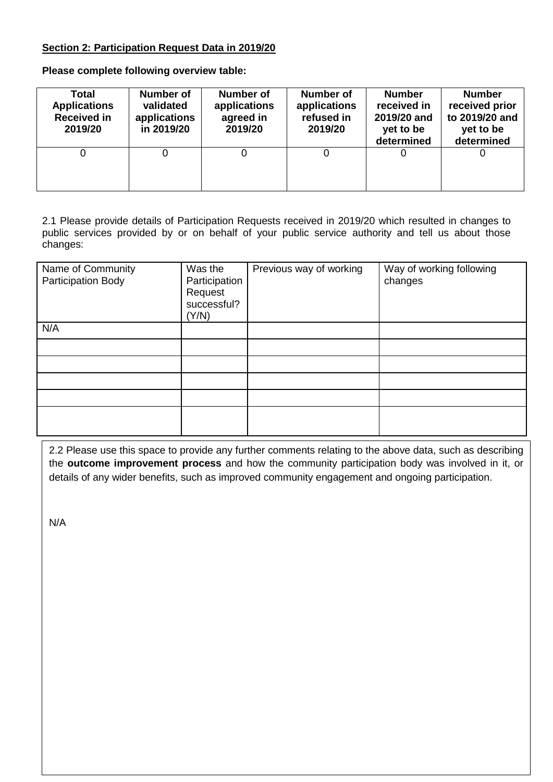### **Section 2: Participation Request Data in 2019/20**

**Please complete following overview table:**

| Total<br><b>Applications</b><br><b>Received in</b><br>2019/20 | <b>Number of</b><br>validated<br>applications<br>in 2019/20 | Number of<br>applications<br>agreed in<br>2019/20 | Number of<br>applications<br>refused in<br>2019/20 | <b>Number</b><br>received in<br>2019/20 and<br>yet to be<br>determined | <b>Number</b><br>received prior<br>to 2019/20 and<br>yet to be<br>determined |
|---------------------------------------------------------------|-------------------------------------------------------------|---------------------------------------------------|----------------------------------------------------|------------------------------------------------------------------------|------------------------------------------------------------------------------|
|                                                               |                                                             |                                                   |                                                    |                                                                        |                                                                              |

2.1 Please provide details of Participation Requests received in 2019/20 which resulted in changes to public services provided by or on behalf of your public service authority and tell us about those changes:

| Name of Community<br>Participation Body | Was the<br>Participation<br>Request<br>successful?<br>(Y/N) | Previous way of working | Way of working following<br>changes |
|-----------------------------------------|-------------------------------------------------------------|-------------------------|-------------------------------------|
| N/A                                     |                                                             |                         |                                     |
|                                         |                                                             |                         |                                     |
|                                         |                                                             |                         |                                     |
|                                         |                                                             |                         |                                     |
|                                         |                                                             |                         |                                     |
|                                         |                                                             |                         |                                     |

2.2 Please use this space to provide any further comments relating to the above data, such as describing the **outcome improvement process** and how the community participation body was involved in it, or details of any wider benefits, such as improved community engagement and ongoing participation.

N/A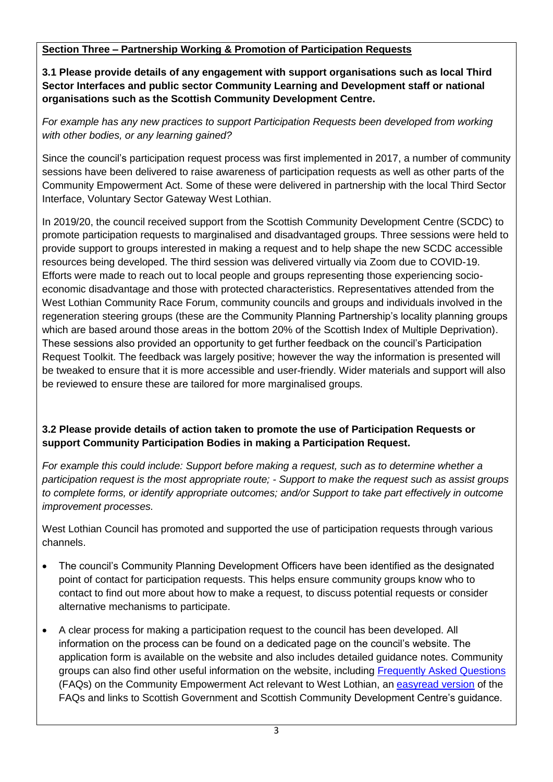# **Section Three – Partnership Working & Promotion of Participation Requests**

**3.1 Please provide details of any engagement with support organisations such as local Third Sector Interfaces and public sector Community Learning and Development staff or national organisations such as the Scottish Community Development Centre.** 

*For example has any new practices to support Participation Requests been developed from working with other bodies, or any learning gained?* 

Since the council's participation request process was first implemented in 2017, a number of community sessions have been delivered to raise awareness of participation requests as well as other parts of the Community Empowerment Act. Some of these were delivered in partnership with the local Third Sector Interface, Voluntary Sector Gateway West Lothian.

In 2019/20, the council received support from the Scottish Community Development Centre (SCDC) to promote participation requests to marginalised and disadvantaged groups. Three sessions were held to provide support to groups interested in making a request and to help shape the new SCDC accessible resources being developed. The third session was delivered virtually via Zoom due to COVID-19. Efforts were made to reach out to local people and groups representing those experiencing socioeconomic disadvantage and those with protected characteristics. Representatives attended from the West Lothian Community Race Forum, community councils and groups and individuals involved in the regeneration steering groups (these are the Community Planning Partnership's locality planning groups which are based around those areas in the bottom 20% of the Scottish Index of Multiple Deprivation). These sessions also provided an opportunity to get further feedback on the council's Participation Request Toolkit. The feedback was largely positive; however the way the information is presented will be tweaked to ensure that it is more accessible and user-friendly. Wider materials and support will also be reviewed to ensure these are tailored for more marginalised groups.

# **3.2 Please provide details of action taken to promote the use of Participation Requests or support Community Participation Bodies in making a Participation Request.**

*For example this could include: Support before making a request, such as to determine whether a participation request is the most appropriate route; - Support to make the request such as assist groups to complete forms, or identify appropriate outcomes; and/or Support to take part effectively in outcome improvement processes.*

West Lothian Council has promoted and supported the use of participation requests through various channels.

- The council's Community Planning Development Officers have been identified as the designated point of contact for participation requests. This helps ensure community groups know who to contact to find out more about how to make a request, to discuss potential requests or consider alternative mechanisms to participate.
- A clear process for making a participation request to the council has been developed. All information on the process can be found on a dedicated page on the council's website. The application form is available on the website and also includes detailed guidance notes. Community groups can also find other useful information on the website, including [Frequently Asked Questions](https://www.westlothian.gov.uk/media/15926/Community-Empowerment-Act-FAQ-s/pdf/Community_Empowerment_Act_FAQs_(public)_(Nov_2017).pdf?m=636461692215200000) (FAQs) on the Community Empowerment Act relevant to West Lothian, an [easyread version](https://www.westlothian.gov.uk/media/18180/Community-Empowerment-Easy-Read/pdf/Community_Empowerment_Easy_Read.pdf?m=636475687414770000) of the FAQs and links to Scottish Government and Scottish Community Development Centre's guidance.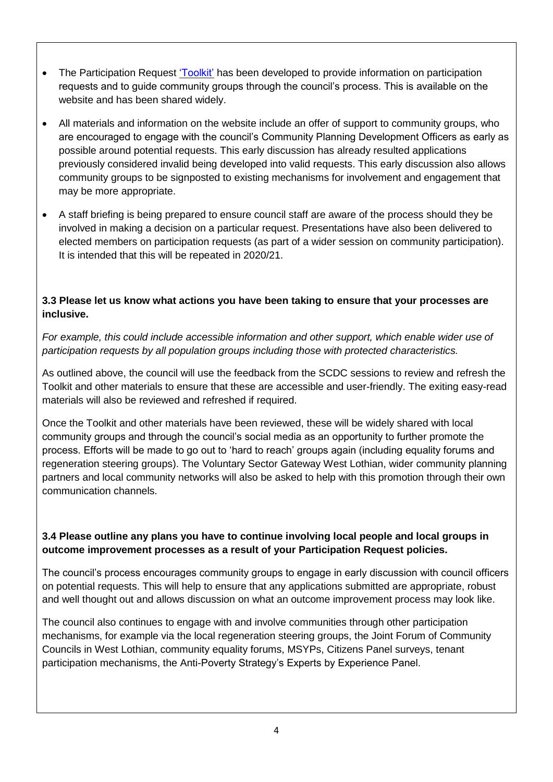- The Participation Request ['Toolkit'](https://www.westlothian.gov.uk/media/17696/WLC-Participation-Request-Toolkit/pdf/WLC_Participation_Requests_Toolkit_(updated_June_2019).pdf?m=636982590015200000) has been developed to provide information on participation requests and to guide community groups through the council's process. This is available on the website and has been shared widely.
- All materials and information on the website include an offer of support to community groups, who are encouraged to engage with the council's Community Planning Development Officers as early as possible around potential requests. This early discussion has already resulted applications previously considered invalid being developed into valid requests. This early discussion also allows community groups to be signposted to existing mechanisms for involvement and engagement that may be more appropriate.
- A staff briefing is being prepared to ensure council staff are aware of the process should they be involved in making a decision on a particular request. Presentations have also been delivered to elected members on participation requests (as part of a wider session on community participation). It is intended that this will be repeated in 2020/21.

# **3.3 Please let us know what actions you have been taking to ensure that your processes are inclusive.**

*For example, this could include accessible information and other support, which enable wider use of participation requests by all population groups including those with protected characteristics.*

As outlined above, the council will use the feedback from the SCDC sessions to review and refresh the Toolkit and other materials to ensure that these are accessible and user-friendly. The exiting easy-read materials will also be reviewed and refreshed if required.

Once the Toolkit and other materials have been reviewed, these will be widely shared with local community groups and through the council's social media as an opportunity to further promote the process. Efforts will be made to go out to 'hard to reach' groups again (including equality forums and regeneration steering groups). The Voluntary Sector Gateway West Lothian, wider community planning partners and local community networks will also be asked to help with this promotion through their own communication channels.

# **3.4 Please outline any plans you have to continue involving local people and local groups in outcome improvement processes as a result of your Participation Request policies.**

The council's process encourages community groups to engage in early discussion with council officers on potential requests. This will help to ensure that any applications submitted are appropriate, robust and well thought out and allows discussion on what an outcome improvement process may look like.

The council also continues to engage with and involve communities through other participation mechanisms, for example via the local regeneration steering groups, the Joint Forum of Community Councils in West Lothian, community equality forums, MSYPs, Citizens Panel surveys, tenant participation mechanisms, the Anti-Poverty Strategy's Experts by Experience Panel.